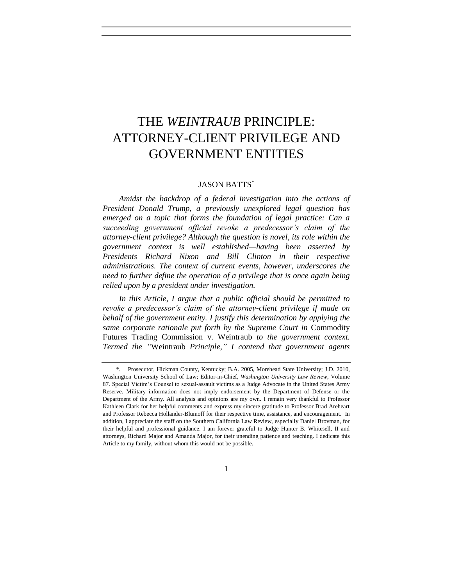# THE *WEINTRAUB* PRINCIPLE: ATTORNEY-CLIENT PRIVILEGE AND GOVERNMENT ENTITIES

# JASON BATTS\*

*Amidst the backdrop of a federal investigation into the actions of President Donald Trump, a previously unexplored legal question has emerged on a topic that forms the foundation of legal practice: Can a succeeding government official revoke a predecessor's claim of the attorney-client privilege? Although the question is novel, its role within the government context is well established—having been asserted by Presidents Richard Nixon and Bill Clinton in their respective administrations. The context of current events, however, underscores the need to further define the operation of a privilege that is once again being relied upon by a president under investigation.*

*In this Article, I argue that a public official should be permitted to revoke a predecessor's claim of the attorney-client privilege if made on behalf of the government entity. I justify this determination by applying the same corporate rationale put forth by the Supreme Court in* Commodity Futures Trading Commission v. Weintraub *to the government context. Termed the "*Weintraub *Principle," I contend that government agents* 

1

<sup>\*.</sup> Prosecutor, Hickman County, Kentucky; B.A. 2005, Morehead State University; J.D. 2010, Washington University School of Law; Editor-in-Chief, *Washington University Law Review*, Volume 87. Special Victim's Counsel to sexual-assault victims as a Judge Advocate in the United States Army Reserve. Military information does not imply endorsement by the Department of Defense or the Department of the Army. All analysis and opinions are my own. I remain very thankful to Professor Kathleen Clark for her helpful comments and express my sincere gratitude to Professor Brad Areheart and Professor Rebecca Hollander-Blumoff for their respective time, assistance, and encouragement. In addition, I appreciate the staff on the Southern California Law Review, especially Daniel Brovman, for their helpful and professional guidance. I am forever grateful to Judge Hunter B. Whitesell, II and attorneys, Richard Major and Amanda Major, for their unending patience and teaching. I dedicate this Article to my family, without whom this would not be possible.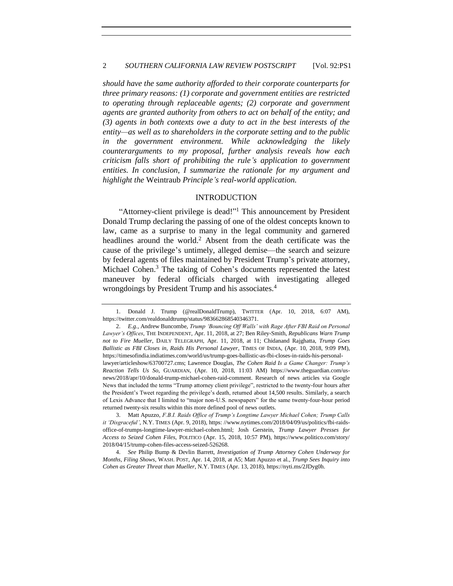#### 2 *SOUTHERN CALIFORNIA LAW REVIEW POSTSCRIPT* [Vol. 92:PS1

*should have the same authority afforded to their corporate counterparts for three primary reasons: (1) corporate and government entities are restricted to operating through replaceable agents; (2) corporate and government agents are granted authority from others to act on behalf of the entity; and (3) agents in both contexts owe a duty to act in the best interests of the entity—as well as to shareholders in the corporate setting and to the public in the government environment. While acknowledging the likely counterarguments to my proposal, further analysis reveals how each criticism falls short of prohibiting the rule's application to government entities. In conclusion, I summarize the rationale for my argument and highlight the* Weintraub *Principle's real-world application.*

### <span id="page-1-0"></span>INTRODUCTION

"Attorney-client privilege is dead!"<sup>1</sup> This announcement by President Donald Trump declaring the passing of one of the oldest concepts known to law, came as a surprise to many in the legal community and garnered headlines around the world.<sup>2</sup> Absent from the death certificate was the cause of the privilege's untimely, alleged demise—the search and seizure by federal agents of files maintained by President Trump's private attorney, Michael Cohen.<sup>3</sup> The taking of Cohen's documents represented the latest maneuver by federal officials charged with investigating alleged wrongdoings by President Trump and his associates.<sup>4</sup>

<sup>1.</sup> Donald J. Trump (@realDonaldTrump), TWITTER (Apr. 10, 2018, 6:07 AM), https://twitter.com/realdonaldtrump/status/983662868540346371.

<sup>2.</sup> *E.g.*, Andrew Buncombe, *Trump 'Bouncing Off Walls' with Rage After FBI Raid on Personal Lawyer's Offices*, THE INDEPENDENT, Apr. 11, 2018, at 27; Ben Riley-Smith, *Republicans Warn Trump not to Fire Mueller*, DAILY TELEGRAPH, Apr. 11, 2018, at 11; Chidanand Rajghatta, *Trump Goes Ballistic as FBI Closes in, Raids His Personal Lawyer*, TIMES OF INDIA, (Apr. 10, 2018, 9:09 PM), https://timesofindia.indiatimes.com/world/us/trump-goes-ballistic-as-fbi-closes-in-raids-his-personallawyer/articleshow/63700727.cms; Lawrence Douglas, *The Cohen Raid Is a Game Changer: Trump's Reaction Tells Us So*, GUARDIAN, (Apr. 10, 2018, 11:03 AM) https://www.theguardian.com/usnews/2018/apr/10/donald-trump-michael-cohen-raid-comment. Research of news articles via Google News that included the terms "Trump attorney client privilege", restricted to the twenty-four hours after the President's Tweet regarding the privilege's death, returned about 14,500 results. Similarly, a search of Lexis Advance that I limited to "major non-U.S. newspapers" for the same twenty-four-hour period

returned twenty-six results within this more defined pool of news outlets. 3. Matt Apuzzo, *F.B.I. Raids Office of Trump's Longtime Lawyer Michael Cohen; Trump Calls it 'Disgraceful'*, N.Y. TIMES (Apr. 9, 2018), https: //www.nytimes.com/2018/04/09/us/politics/fbi-raidsoffice-of-trumps-longtime-lawyer-michael-cohen.html; Josh Gerstein, *Trump Lawyer Presses for Access to Seized Cohen Files*, POLITICO (Apr. 15, 2018, 10:57 PM), https://www.politico.com/story/ 2018/04/15/trump-cohen-files-access-seized-526268.

<sup>4.</sup> *See* Philip Bump & Devlin Barrett, *Investigation of Trump Attorney Cohen Underway for Months, Filing Shows*, WASH. POST, Apr. 14, 2018, at A5; Matt Apuzzo et al., *Trump Sees Inquiry into Cohen as Greater Threat than Mueller*, N.Y. TIMES (Apr. 13, 2018), https://nyti.ms/2JDyg0h.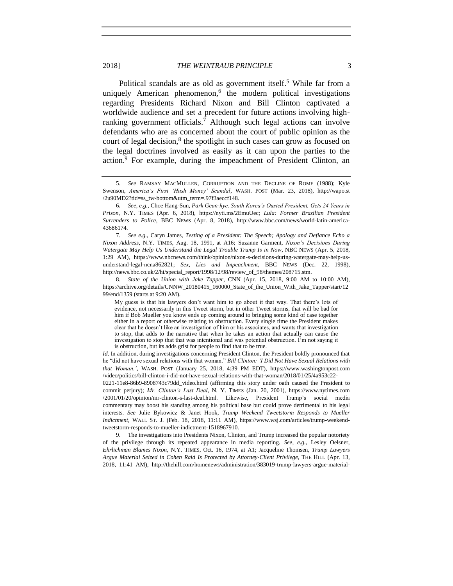2018] *THE WEINTRAUB PRINCIPLE* 3

Political scandals are as old as government itself.<sup>5</sup> While far from a uniquely American phenomenon, $6$  the modern political investigations regarding Presidents Richard Nixon and Bill Clinton captivated a worldwide audience and set a precedent for future actions involving highranking government officials.<sup>7</sup> Although such legal actions can involve defendants who are as concerned about the court of public opinion as the court of legal decision,<sup>8</sup> the spotlight in such cases can grow as focused on the legal doctrines involved as easily as it can upon the parties to the action.<sup>9</sup> For example, during the impeachment of President Clinton, an

8. *State of the Union with Jake Tapper*, CNN (Apr. 15, 2018, 9:00 AM to 10:00 AM), https://archive.org/details/CNNW\_20180415\_160000\_State\_of\_the\_Union\_With\_Jake\_Tapper/start/12 99/end/1359 (starts at 9:20 AM).

My guess is that his lawyers don't want him to go about it that way. That there's lots of evidence, not necessarily in this Tweet storm, but in other Tweet storms, that will be bad for him if Bob Mueller you know ends up coming around to bringing some kind of case together either in a report or otherwise relating to obstruction. Every single time the President makes clear that he doesn't like an investigation of him or his associates, and wants that investigation to stop, that adds to the narrative that when he takes an action that actually can cause the investigation to stop that that was intentional and was potential obstruction. I'm not saying it is obstruction, but its adds grist for people to find that to be true.

*Id*. In addition, during investigations concerning President Clinton, the President boldly pronounced that he "did not have sexual relations with that woman." *Bill Clinton: 'I Did Not Have Sexual Relations with that Woman.'*, WASH. POST (January 25, 2018, 4:39 PM EDT), https://www.washingtonpost.com /video/politics/bill-clinton-i-did-not-have-sexual-relations-with-that-woman/2018/01/25/4a953c22-

0221-11e8-86b9-8908743c79dd\_video.html (affirming this story under oath caused the President to commit perjury); *Mr. Clinton's Last Deal*, N. Y. TIMES (Jan. 20, 2001), https://www.nytimes.com /2001/01/20/opinion/mr-clinton-s-last-deal.html. Likewise, President Trump's social media commentary may boost his standing among his political base but could prove detrimental to his legal interests. *See* Julie Bykowicz & Janet Hook, *Trump Weekend Tweetstorm Responds to Mueller Indictment*, WALL ST. J. (Feb. 18, 2018, 11:11 AM), https://www.wsj.com/articles/trump-weekendtweetstorm-responds-to-mueller-indictment-1518967910.

9. The investigations into Presidents Nixon, Clinton, and Trump increased the popular notoriety of the privilege through its repeated appearance in media reporting. *See, e.g.*, Lesley Oelsner, *Ehrlichman Blames Nixon*, N.Y. TIMES, Oct. 16, 1974, at A1; Jacqueline Thomsen, *Trump Lawyers Argue Material Seized in Cohen Raid Is Protected by Attorney-Client Privilege*, THE HILL (Apr. 13, 2018, 11:41 AM), http://thehill.com/homenews/administration/383019-trump-lawyers-argue-material-

<span id="page-2-0"></span><sup>5.</sup> *See* RAMSAY MACMULLEN, CORRUPTION AND THE DECLINE OF ROME (1988); Kyle Swenson, *America's First 'Hush Money' Scandal*, WASH. POST (Mar. 23, 2018), http://wapo.st /2u90MD2?tid=ss\_tw-bottom&utm\_term=.97f3aeccf148.

<sup>6</sup>**.** *See, e.g.*, Choe Hang-Sun, *Park Geun-hye, South Korea's Ousted President, Gets 24 Years in Prison*, N.Y. TIMES (Apr. 6, 2018), https://nyti.ms/2EmuUec; *Lula: Former Brazilian President Surrenders to Police*, BBC NEWS (Apr. 8, 2018), http://www.bbc.com/news/world-latin-america-43686174.

<sup>7.</sup> *See e.g.*, Caryn James, *Testing of a President: The Speech; Apology and Defiance Echo a Nixon Address*, N.Y. TIMES, Aug. 18, 1991, at A16; Suzanne Garment, *Nixon's Decisions During Watergate May Help Us Understand the Legal Trouble Trump Is in Now*, NBC NEWS (Apr. 5, 2018, 1:29 AM), https://www.nbcnews.com/think/opinion/nixon-s-decisions-during-watergate-may-help-usunderstand-legal-ncna862821; *Sex, Lies and Impeachment*, BBC NEWS (Dec. 22, 1998), http://news.bbc.co.uk/2/hi/special\_report/1998/12/98/review\_of\_98/themes/208715.stm.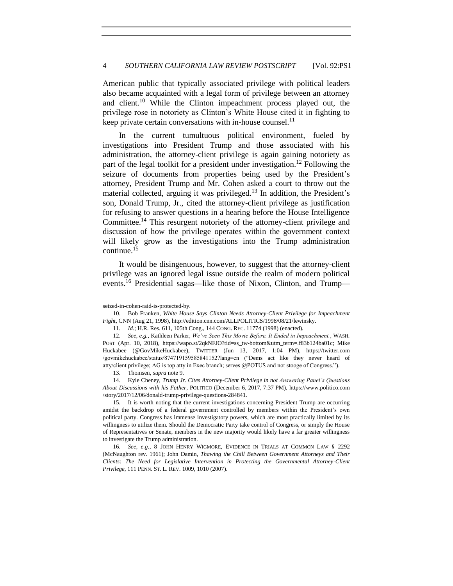American public that typically associated privilege with political leaders also became acquainted with a legal form of privilege between an attorney and client.<sup>10</sup> While the Clinton impeachment process played out, the privilege rose in notoriety as Clinton's White House cited it in fighting to keep private certain conversations with in-house counsel.<sup>11</sup>

<span id="page-3-1"></span>In the current tumultuous political environment, fueled by investigations into President Trump and those associated with his administration, the attorney-client privilege is again gaining notoriety as part of the legal toolkit for a president under investigation.<sup>12</sup> Following the seizure of documents from properties being used by the President's attorney, President Trump and Mr. Cohen asked a court to throw out the material collected, arguing it was privileged.<sup>13</sup> In addition, the President's son, Donald Trump, Jr., cited the attorney-client privilege as justification for refusing to answer questions in a hearing before the House Intelligence Committee.<sup>14</sup> This resurgent notoriety of the attorney-client privilege and discussion of how the privilege operates within the government context will likely grow as the investigations into the Trump administration continue.<sup>15</sup>

<span id="page-3-0"></span>It would be disingenuous, however, to suggest that the attorney-client privilege was an ignored legal issue outside the realm of modern political events.<sup>16</sup> Presidential sagas—like those of Nixon, Clinton, and Trump—

seized-in-cohen-raid-is-protected-by.

<sup>10.</sup> Bob Franken, *White House Says Clinton Needs Attorney-Client Privilege for Impeachment Fight*, CNN (Aug 21, 1998), http://edition.cnn.com/ALLPOLITICS/1998/08/21/lewinsky.

<sup>11.</sup> *Id*.; H.R. Res. 611, 105th Cong., 144 CONG. REC. 11774 (1998) (enacted).

<sup>12.</sup> *See, e.g.*, Kathleen Parker, *We've Seen This Movie Before. It Ended in Impeachment.*, WASH. POST (Apr. 10, 2018), https://wapo.st/2qkNFJO?tid=ss\_tw-bottom&utm\_term=.f83b124ba01c; Mike Huckabee (@GovMikeHuckabee), TWITTER (Jun 13, 2017, 1:04 PM), https://twitter.com /govmikehuckabee/status/874719159585841152?lang=en ("Dems act like they never heard of atty/client privilege; AG is top atty in Exec branch; serves @POTUS and not stooge of Congress.").

<sup>13.</sup> Thomsen, *supra* note [9.](#page-2-0)

<sup>14.</sup> Kyle Cheney, *Trump Jr. Cites Attorney-Client Privilege in not Answering Panel's Questions About Discussions with his Father*, POLITICO (December 6, 2017, 7:37 PM), https://www.politico.com /story/2017/12/06/donald-trump-privilege-questions-284841.

<sup>15.</sup> It is worth noting that the current investigations concerning President Trump are occurring amidst the backdrop of a federal government controlled by members within the President's own political party. Congress has immense investigatory powers, which are most practically limited by its willingness to utilize them. Should the Democratic Party take control of Congress, or simply the House of Representatives or Senate, members in the new majority would likely have a far greater willingness to investigate the Trump administration.

<sup>16.</sup> *See, e.g.*, 8 JOHN HENRY WIGMORE, EVIDENCE IN TRIALS AT COMMON LAW § 2292 (McNaughton rev. 1961); John Damin, *Thawing the Chill Between Government Attorneys and Their Clients: The Need for Legislative Intervention in Protecting the Governmental Attorney-Client Privilege*, 111 PENN. ST. L. REV. 1009, 1010 (2007).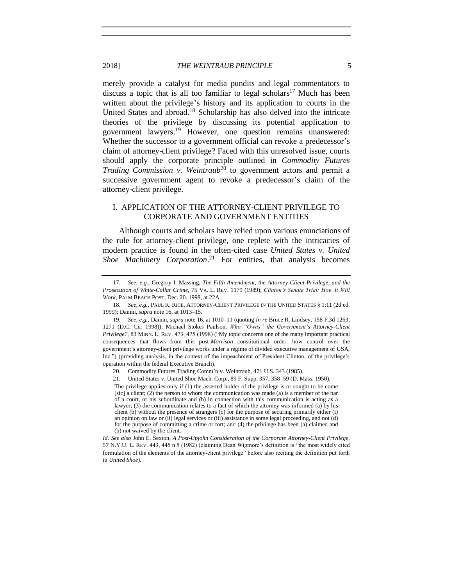<span id="page-4-0"></span>merely provide a catalyst for media pundits and legal commentators to discuss a topic that is all too familiar to legal scholars<sup>17</sup> Much has been written about the privilege's history and its application to courts in the United States and abroad.<sup>18</sup> Scholarship has also delved into the intricate theories of the privilege by discussing its potential application to government lawyers.<sup>19</sup> However, one question remains unanswered: Whether the successor to a government official can revoke a predecessor's claim of attorney-client privilege? Faced with this unresolved issue, courts should apply the corporate principle outlined in *Commodity Futures Trading Commission v. Weintraub*<sup>20</sup> to government actors and permit a successive government agent to revoke a predecessor's claim of the attorney-client privilege.

## I. APPLICATION OF THE ATTORNEY-CLIENT PRIVILEGE TO CORPORATE AND GOVERNMENT ENTITIES

Although courts and scholars have relied upon various enunciations of the rule for attorney-client privilege, one replete with the intricacies of modern practice is found in the often-cited case *United States v. United Shoe Machinery Corporation*. <sup>21</sup> For entities, that analysis becomes

21. United States v. United Shoe Mach. Corp., 89 F. Supp. 357, 358–59 (D. Mass. 1950).

The privilege applies only if (1) the asserted holder of the privilege is or sought to be come [sic] a client; (2) the person to whom the communication was made (a) is a member of the bar of a court, or his subordinate and (b) in connection with this communication is acting as a lawyer; (3) the communication relates to a fact of which the attorney was informed (a) by his client (b) without the presence of strangers (c) for the purpose of securing primarily either (i) an opinion on law or  $(i)$  legal services or  $(iii)$  assistance in some legal proceeding, and not (d) for the purpose of committing a crime or tort; and (4) the privilege has been (a) claimed and (b) not waived by the client.

*Id*. *See also* John E. Sexton, *A Post-Upjohn Consideration of the Corporate Attorney-Client Privilege*, 57 N.Y.U. L. REV. 443, 445 n.5 (1982) (claiming Dean Wigmore's definition is "the most widely cited formulation of the elements of the attorney-client privilege" before also reciting the definition put forth in *United Shoe*).

<sup>17.</sup> *See, e.g.*, Gregory I. Massing, *The Fifth Amendment, the Attorney-Client Privilege, and the Prosecution of White-Collar Crime,* 75 VA. L. REV. 1179 (1989); *Clinton's Senate Trial: How It Will Work*, PALM BEACH POST, Dec. 20. 1998, at 22A.

<sup>18.</sup> *See, e.g.*, PAUL R. RICE, ATTORNEY-CLIENT PRIVILEGE IN THE UNITED STATES § 1:11 (2d ed. 1999); Damin, *supra* not[e 16,](#page-3-0) at 1013–15.

<sup>19.</sup> *See, e.g.*, Damin, *supra* not[e 16,](#page-3-0) at 1010–11 (quoting *In re* Bruce R. Lindsey, 158 F.3d 1263, 1271 (D.C. Cir. 1998)); Michael Stokes Paulson, *Who "Owns" the Government's Attorney-Client Privilege?*, 83 MINN. L. REV. 473, 475 (1998) ("My topic concerns one of the many important practical consequences that flows from this post-*Morrison* constitutional order: how control over the government's attorney-client privilege works under a regime of divided executive management of USA, Inc.") (providing analysis, in the context of the impeachment of President Clinton, of the privilege's operation within the federal Executive Branch).

<sup>20.</sup> Commodity Futures Trading Comm'n v. Weintraub, 471 U.S. 343 (1985).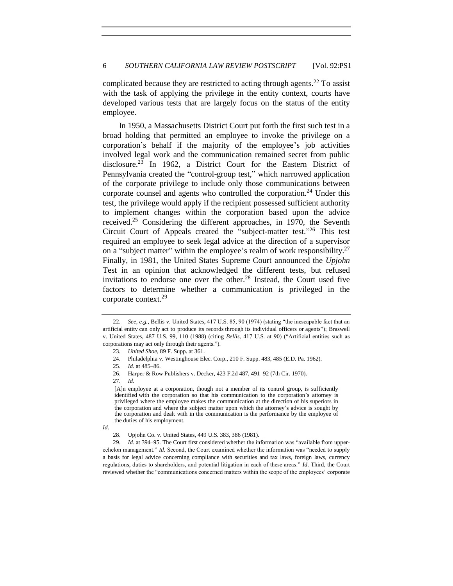<span id="page-5-0"></span>complicated because they are restricted to acting through agents.<sup>22</sup> To assist with the task of applying the privilege in the entity context, courts have developed various tests that are largely focus on the status of the entity employee.

In 1950, a Massachusetts District Court put forth the first such test in a broad holding that permitted an employee to invoke the privilege on a corporation's behalf if the majority of the employee's job activities involved legal work and the communication remained secret from public disclosure.<sup>23</sup> In 1962, a District Court for the Eastern District of Pennsylvania created the "control-group test," which narrowed application of the corporate privilege to include only those communications between corporate counsel and agents who controlled the corporation.<sup>24</sup> Under this test, the privilege would apply if the recipient possessed sufficient authority to implement changes within the corporation based upon the advice received.<sup>25</sup> Considering the different approaches, in 1970, the Seventh Circuit Court of Appeals created the "subject-matter test."<sup>26</sup> This test required an employee to seek legal advice at the direction of a supervisor on a "subject matter" within the employee's realm of work responsibility.<sup>27</sup> Finally, in 1981, the United States Supreme Court announced the *Upjohn*  Test in an opinion that acknowledged the different tests, but refused invitations to endorse one over the other.<sup>28</sup> Instead, the Court used five factors to determine whether a communication is privileged in the corporate context.<sup>29</sup>

<span id="page-5-1"></span><sup>22.</sup> *See, e.g.*, Bellis v. United States, 417 U.S. 85, 90 (1974) (stating "the inescapable fact that an artificial entity can only act to produce its records through its individual officers or agents"); Braswell v. United States, 487 U.S. 99, 110 (1988) (citing *Bellis*, 417 U.S. at 90) ("Artificial entities such as corporations may act only through their agents.").

<sup>23.</sup> *United Shoe*, 89 F. Supp. at 361.

<sup>24.</sup> Philadelphia v. Westinghouse Elec. Corp., 210 F. Supp. 483, 485 (E.D. Pa. 1962).

<sup>25.</sup> *Id.* at 485–86.

<sup>26.</sup> Harper & Row Publishers v. Decker, 423 F.2d 487, 491–92 (7th Cir. 1970).

<sup>27.</sup> *Id*.

<sup>[</sup>A]n employee at a corporation, though not a member of its control group, is sufficiently identified with the corporation so that his communication to the corporation's attorney is privileged where the employee makes the communication at the direction of his superiors in the corporation and where the subject matter upon which the attorney's advice is sought by the corporation and dealt with in the communication is the performance by the employee of the duties of his employment.

*Id*.

<sup>28.</sup> Upjohn Co. v. United States, 449 U.S. 383, 386 (1981).

<sup>29.</sup> *Id*. at 394–95. The Court first considered whether the information was "available from upperechelon management." *Id.* Second, the Court examined whether the information was "needed to supply a basis for legal advice concerning compliance with securities and tax laws, foreign laws, currency regulations, duties to shareholders, and potential litigation in each of these areas." *Id*. Third, the Court reviewed whether the "communications concerned matters within the scope of the employees' corporate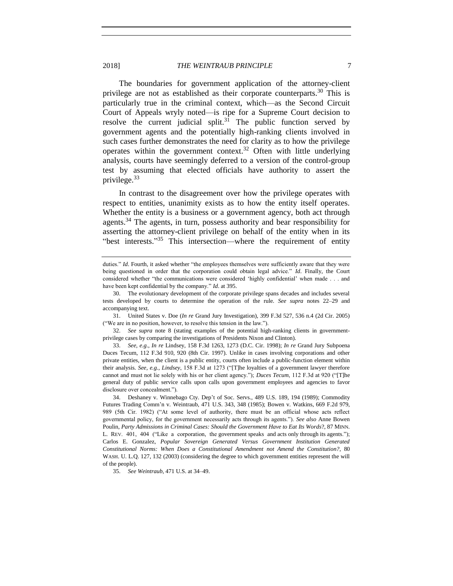2018] *THE WEINTRAUB PRINCIPLE* 7

The boundaries for government application of the attorney-client privilege are not as established as their corporate counterparts.<sup>30</sup> This is particularly true in the criminal context, which—as the Second Circuit Court of Appeals wryly noted—is ripe for a Supreme Court decision to resolve the current judicial split. $31$  The public function served by government agents and the potentially high-ranking clients involved in such cases further demonstrates the need for clarity as to how the privilege operates within the government context.<sup>32</sup> Often with little underlying analysis, courts have seemingly deferred to a version of the control-group test by assuming that elected officials have authority to assert the privilege.<sup>33</sup>

In contrast to the disagreement over how the privilege operates with respect to entities, unanimity exists as to how the entity itself operates. Whether the entity is a business or a government agency, both act through agents.<sup>34</sup> The agents, in turn, possess authority and bear responsibility for asserting the attorney-client privilege on behalf of the entity when in its "best interests."<sup>35</sup> This intersection—where the requirement of entity

35. *See Weintraub*, 471 U.S. at 34–49.

duties." *Id*. Fourth, it asked whether "the employees themselves were sufficiently aware that they were being questioned in order that the corporation could obtain legal advice." *Id*. Finally, the Court considered whether "the communications were considered 'highly confidential' when made . . . and have been kept confidential by the company." *Id*. at 395.

<sup>30.</sup> The evolutionary development of the corporate privilege spans decades and includes several tests developed by courts to determine the operation of the rule. *See supra* notes [22](#page-5-0)[–29](#page-5-1) and accompanying text.

<sup>31.</sup> United States v. Doe (*In re* Grand Jury Investigation), 399 F.3d 527, 536 n.4 (2d Cir. 2005) ("We are in no position, however, to resolve this tension in the law.").

<sup>32.</sup> *See supra* note 8 (stating examples of the potential high-ranking clients in governmentprivilege cases by comparing the investigations of Presidents Nixon and Clinton).

<sup>33.</sup> *See, e.g*., *In re* Lindsey, 158 F.3d 1263, 1273 (D.C. Cir. 1998); *In re* Grand Jury Subpoena Duces Tecum, 112 F.3d 910, 920 (8th Cir. 1997). Unlike in cases involving corporations and other private entities, when the client is a public entity, courts often include a public-function element within their analysis. *See, e.g.*, *Lindsey*, 158 F.3d at 1273 ("[T]he loyalties of a government lawyer therefore cannot and must not lie solely with his or her client agency."); *Duces Tecum*, 112 F.3d at 920 ("[T]he general duty of public service calls upon calls upon government employees and agencies to favor disclosure over concealment.").

<sup>34.</sup> Deshaney v. Winnebago Cty. Dep't of Soc. Servs., 489 U.S. 189, 194 (1989); Commodity Futures Trading Comm'n v. Weintraub, 471 U.S. 343, 348 (1985); Bowen v. Watkins, 669 F.2d 979, 989 (5th Cir. 1982) ("At some level of authority, there must be an official whose acts reflect governmental policy, for the government necessarily acts through its agents."). *See also* Anne Bowen Poulin, *Party Admissions in Criminal Cases: Should the Government Have to Eat Its Words*?, 87 MINN. L. REV. 401, 404 ("Like a corporation, the government speaks and acts only through its agents."); Carlos E. Gonzalez, *Popular Sovereign Generated Versus Government Institution Generated Constitutional Norms: When Does a Constitutional Amendment not Amend the Constitution?*, 80 WASH. U. L.Q. 127, 132 (2003) (considering the degree to which government entities represent the will of the people).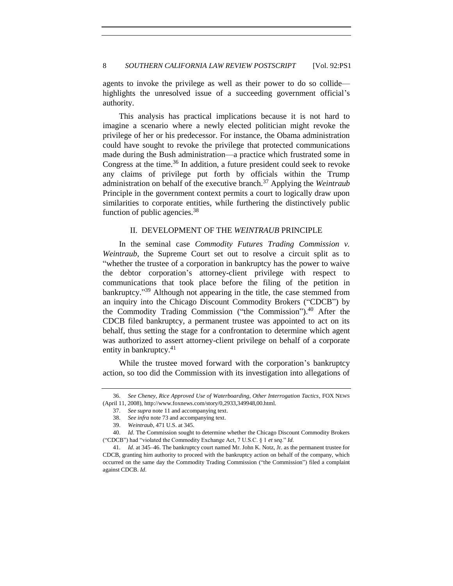agents to invoke the privilege as well as their power to do so collide highlights the unresolved issue of a succeeding government official's authority.

This analysis has practical implications because it is not hard to imagine a scenario where a newly elected politician might revoke the privilege of her or his predecessor. For instance, the Obama administration could have sought to revoke the privilege that protected communications made during the Bush administration—a practice which frustrated some in Congress at the time.<sup>36</sup> In addition, a future president could seek to revoke any claims of privilege put forth by officials within the Trump administration on behalf of the executive branch.<sup>37</sup> Applying the *Weintraub* Principle in the government context permits a court to logically draw upon similarities to corporate entities, while furthering the distinctively public function of public agencies.<sup>38</sup>

### II. DEVELOPMENT OF THE *WEINTRAUB* PRINCIPLE

In the seminal case *Commodity Futures Trading Commission v. Weintraub*, the Supreme Court set out to resolve a circuit split as to "whether the trustee of a corporation in bankruptcy has the power to waive the debtor corporation's attorney-client privilege with respect to communications that took place before the filing of the petition in bankruptcy."<sup>39</sup> Although not appearing in the title, the case stemmed from an inquiry into the Chicago Discount Commodity Brokers ("CDCB") by the Commodity Trading Commission ("the Commission").<sup>40</sup> After the CDCB filed bankruptcy, a permanent trustee was appointed to act on its behalf, thus setting the stage for a confrontation to determine which agent was authorized to assert attorney-client privilege on behalf of a corporate entity in bankruptcy.<sup>41</sup>

While the trustee moved forward with the corporation's bankruptcy action, so too did the Commission with its investigation into allegations of

<sup>36.</sup> *See Cheney, Rice Approved Use of Waterboarding, Other Interrogation Tactics*, FOX NEWS (April 11, 2008), http://www.foxnews.com/story/0,2933,349948,00.html.

<sup>37.</sup> *See supra* not[e 11](#page-3-1) and accompanying text.

<sup>38.</sup> *See infra* not[e 73](#page-12-0) and accompanying text.

<sup>39.</sup> *Weintraub*, 471 U.S. at 345.

<sup>40.</sup> *Id*. The Commission sought to determine whether the Chicago Discount Commodity Brokers ("CDCB") had "violated the Commodity Exchange Act, 7 U.S.C. § 1 *et seq*." *Id*.

<sup>41.</sup> *Id*. at 345–46. The bankruptcy court named Mr. John K. Notz, Jr. as the permanent trustee for CDCB, granting him authority to proceed with the bankruptcy action on behalf of the company, which occurred on the same day the Commodity Trading Commission ("the Commission") filed a complaint against CDCB. *Id*.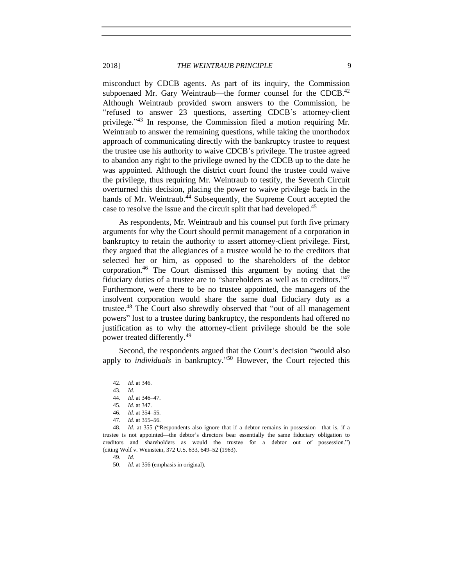misconduct by CDCB agents. As part of its inquiry, the Commission subpoenaed Mr. Gary Weintraub—the former counsel for the CDCB. $42$ Although Weintraub provided sworn answers to the Commission, he "refused to answer 23 questions, asserting CDCB's attorney-client privilege."<sup>43</sup> In response, the Commission filed a motion requiring Mr. Weintraub to answer the remaining questions, while taking the unorthodox approach of communicating directly with the bankruptcy trustee to request the trustee use his authority to waive CDCB's privilege. The trustee agreed to abandon any right to the privilege owned by the CDCB up to the date he was appointed. Although the district court found the trustee could waive the privilege, thus requiring Mr. Weintraub to testify, the Seventh Circuit overturned this decision, placing the power to waive privilege back in the hands of Mr. Weintraub.<sup>44</sup> Subsequently, the Supreme Court accepted the case to resolve the issue and the circuit split that had developed.<sup>45</sup>

As respondents, Mr. Weintraub and his counsel put forth five primary arguments for why the Court should permit management of a corporation in bankruptcy to retain the authority to assert attorney-client privilege. First, they argued that the allegiances of a trustee would be to the creditors that selected her or him, as opposed to the shareholders of the debtor corporation.<sup>46</sup> The Court dismissed this argument by noting that the fiduciary duties of a trustee are to "shareholders as well as to creditors."<sup>47</sup> Furthermore, were there to be no trustee appointed, the managers of the insolvent corporation would share the same dual fiduciary duty as a trustee.<sup>48</sup> The Court also shrewdly observed that "out of all management powers" lost to a trustee during bankruptcy, the respondents had offered no justification as to why the attorney-client privilege should be the sole power treated differently.<sup>49</sup>

Second, the respondents argued that the Court's decision "would also apply to *individuals* in bankruptcy." <sup>50</sup> However, the Court rejected this

49. *Id*.

50. *Id.* at 356 (emphasis in original).

<sup>42.</sup> *Id*. at 346.

<sup>43.</sup> *Id*.

<sup>44.</sup> *Id*. at 346–47.

<sup>45.</sup> *Id*. at 347.

<sup>46.</sup> *Id*. at 354–55.

<sup>47.</sup> *Id*. at 355–56.

<sup>48.</sup> *Id*. at 355 ("Respondents also ignore that if a debtor remains in possession—that is, if a trustee is not appointed—the debtor's directors bear essentially the same fiduciary obligation to creditors and shareholders as would the trustee for a debtor out of possession.") (citing Wolf v. Weinstein, 372 U.S. 633, 649–52 (1963).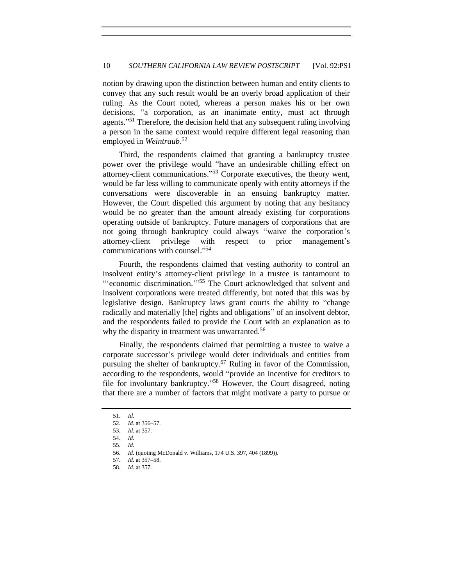notion by drawing upon the distinction between human and entity clients to convey that any such result would be an overly broad application of their ruling. As the Court noted, whereas a person makes his or her own decisions, "a corporation, as an inanimate entity, must act through agents."<sup>51</sup> Therefore, the decision held that any subsequent ruling involving a person in the same context would require different legal reasoning than employed in *Weintraub*. 52

Third, the respondents claimed that granting a bankruptcy trustee power over the privilege would "have an undesirable chilling effect on attorney-client communications." <sup>53</sup> Corporate executives, the theory went, would be far less willing to communicate openly with entity attorneys if the conversations were discoverable in an ensuing bankruptcy matter. However, the Court dispelled this argument by noting that any hesitancy would be no greater than the amount already existing for corporations operating outside of bankruptcy. Future managers of corporations that are not going through bankruptcy could always "waive the corporation's attorney-client privilege with respect to prior management's communications with counsel." 54

Fourth, the respondents claimed that vesting authority to control an insolvent entity's attorney-client privilege in a trustee is tantamount to "economic discrimination."<sup>55</sup> The Court acknowledged that solvent and insolvent corporations were treated differently, but noted that this was by legislative design. Bankruptcy laws grant courts the ability to "change radically and materially [the] rights and obligations" of an insolvent debtor, and the respondents failed to provide the Court with an explanation as to why the disparity in treatment was unwarranted.<sup>56</sup>

Finally, the respondents claimed that permitting a trustee to waive a corporate successor's privilege would deter individuals and entities from pursuing the shelter of bankruptcy.<sup>57</sup> Ruling in favor of the Commission, according to the respondents, would "provide an incentive for creditors to file for involuntary bankruptcy." <sup>58</sup> However, the Court disagreed, noting that there are a number of factors that might motivate a party to pursue or

<sup>51.</sup> *Id.*

<sup>52.</sup> *Id.* at 356–57.

<sup>53.</sup> *Id.* at 357.

<sup>54.</sup> *Id.*

<sup>55.</sup> *Id.*

<sup>56.</sup> *Id.* (quoting McDonald v. Williams, 174 U.S. 397, 404 (1899)).

<sup>57.</sup> *Id.* at 357–58.

<sup>58.</sup> *Id.* at 357.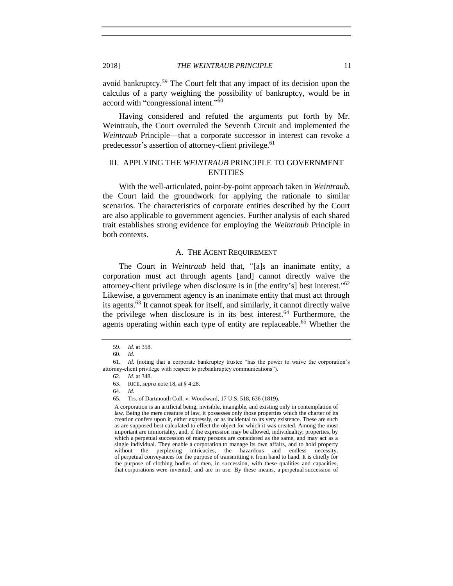avoid bankruptcy.<sup>59</sup> The Court felt that any impact of its decision upon the calculus of a party weighing the possibility of bankruptcy, would be in accord with "congressional intent."<sup>60</sup>

Having considered and refuted the arguments put forth by Mr. Weintraub, the Court overruled the Seventh Circuit and implemented the *Weintraub* Principle—that a corporate successor in interest can revoke a predecessor's assertion of attorney-client privilege.<sup>61</sup>

# III. APPLYING THE *WEINTRAUB* PRINCIPLE TO GOVERNMENT **ENTITIES**

With the well-articulated, point-by-point approach taken in *Weintraub*, the Court laid the groundwork for applying the rationale to similar scenarios. The characteristics of corporate entities described by the Court are also applicable to government agencies. Further analysis of each shared trait establishes strong evidence for employing the *Weintraub* Principle in both contexts.

### A. THE AGENT REQUIREMENT

The Court in *Weintraub* held that, "[a]s an inanimate entity, a corporation must act through agents [and] cannot directly waive the attorney-client privilege when disclosure is in [the entity's] best interest." 62 Likewise, a government agency is an inanimate entity that must act through its agents.<sup>63</sup> It cannot speak for itself, and similarly, it cannot directly waive the privilege when disclosure is in its best interest.<sup>64</sup> Furthermore, the agents operating within each type of entity are replaceable.<sup>65</sup> Whether the

- 63. RICE, *supra* note [18,](#page-4-0) at § 4:28.
- 64. *Id.*

<sup>59.</sup> *Id.* at 358.

<sup>60.</sup> *Id.*

<sup>61.</sup> *Id.* (noting that a corporate bankruptcy trustee "has the power to waive the corporation's attorney-client privilege with respect to prebankruptcy communications").

<sup>62.</sup> *Id.* at 348.

<sup>65.</sup> Trs. of Dartmouth Coll. v. Woodward, 17 U.S. 518, 636 (1819).

A corporation is an artificial being, invisible, intangible, and existing only in contemplation of law. Being the mere creature of law, it possesses only those properties which the charter of its creation confers upon it, either expressly, or as incidental to its very existence. These are such as are supposed best calculated to effect the object for which it was created. Among the most important are immortality, and, if the expression may be allowed, individuality; properties, by which a perpetual succession of many persons are considered as the same, and may act as a single individual. They enable a corporation to manage its own affairs, and to hold property without the perplexing intricacies, the hazardous and endless necessity, of perpetual conveyances for the purpose of transmitting it from hand to hand. It is chiefly for the purpose of clothing bodies of men, in succession, with these qualities and capacities, that corporations were invented, and are in use. By these means, a perpetual succession of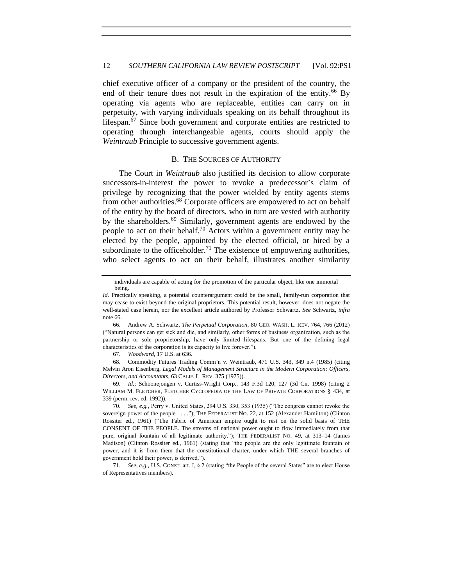chief executive officer of a company or the president of the country, the end of their tenure does not result in the expiration of the entity.<sup>66</sup> By operating via agents who are replaceable, entities can carry on in perpetuity, with varying individuals speaking on its behalf throughout its lifespan.<sup>67</sup> Since both government and corporate entities are restricted to operating through interchangeable agents, courts should apply the *Weintraub* Principle to successive government agents.

## <span id="page-11-2"></span><span id="page-11-1"></span><span id="page-11-0"></span>B. THE SOURCES OF AUTHORITY

The Court in *Weintraub* also justified its decision to allow corporate successors-in-interest the power to revoke a predecessor's claim of privilege by recognizing that the power wielded by entity agents stems from other authorities.<sup>68</sup> Corporate officers are empowered to act on behalf of the entity by the board of directors, who in turn are vested with authority by the shareholders.<sup>69</sup> Similarly, government agents are endowed by the people to act on their behalf.<sup>70</sup> Actors within a government entity may be elected by the people, appointed by the elected official, or hired by a subordinate to the officeholder.<sup>71</sup> The existence of empowering authorities, who select agents to act on their behalf, illustrates another similarity

67. *Woodward*, 17 U.S. at 636.

68. Commodity Futures Trading Comm'n v. Weintraub, 471 U.S. 343, 349 n.4 (1985) (citing Melvin Aron Eisenberg, *Legal Models of Management Structure in the Modern Corporation: Officers, Directors, and Accountants*, 63 CALIF. L. REV. 375 (1975)).

69. *Id.*; Schoonejongen v. Curtiss-Wright Corp., 143 F.3d 120, 127 (3d Cir. 1998) (citing 2 WILLIAM M. FLETCHER, FLETCHER CYCLOPEDIA OF THE LAW OF PRIVATE CORPORATIONS § 434, at 339 (perm. rev. ed. 1992)).

70. *See, e.g.*, Perry v. United States, 294 U.S. 330, 353 (1935) ("The congress cannot revoke the sovereign power of the people . . . ."); THE FEDERALIST NO. 22, at 152 (Alexander Hamilton) (Clinton Rossiter ed., 1961) ("The Fabric of American empire ought to rest on the solid basis of THE CONSENT OF THE PEOPLE. The streams of national power ought to flow immediately from that pure, original fountain of all legitimate authority."); THE FEDERALIST NO. 49, at 313–14 (James Madison) (Clinton Rossiter ed., 1961) (stating that "the people are the only legitimate fountain of power, and it is from them that the constitutional charter, under which THE several branches of government hold their power, is derived.").

71. *See, e.g.*, U.S. CONST. art. I, § 2 (stating "the People of the several States" are to elect House of Representatives members).

individuals are capable of acting for the promotion of the particular object, like one immortal being.

*Id.* Practically speaking, a potential counterargument could be the small, family-run corporation that may cease to exist beyond the original proprietors. This potential result, however, does not negate the well-stated case herein, nor the excellent article authored by Professor Schwartz. *See* Schwartz, *infra* note [66.](#page-11-0)

<sup>66.</sup> Andrew A. Schwartz, *The Perpetual Corporation*, 80 GEO. WASH. L. REV. 764, 766 (2012) ("Natural persons can get sick and die, and similarly, other forms of business organization, such as the partnership or sole proprietorship, have only limited lifespans. But one of the defining legal characteristics of the corporation is its capacity to live forever.").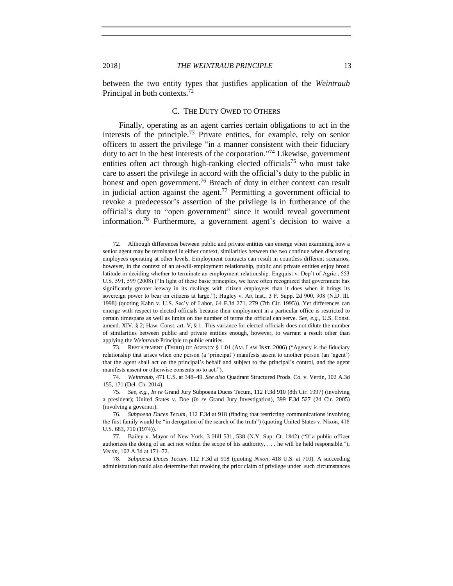between the two entity types that justifies application of the *Weintraub* Principal in both contexts.<sup>72</sup>

#### <span id="page-12-0"></span>C. THE DUTY OWED TO OTHERS

Finally, operating as an agent carries certain obligations to act in the interests of the principle.<sup>73</sup> Private entities, for example, rely on senior officers to assert the privilege "in a manner consistent with their fiduciary duty to act in the best interests of the corporation." <sup>74</sup> Likewise, government entities often act through high-ranking elected officials<sup>75</sup> who must take care to assert the privilege in accord with the official's duty to the public in honest and open government.<sup>76</sup> Breach of duty in either context can result in judicial action against the agent.<sup>77</sup> Permitting a government official to revoke a predecessor's assertion of the privilege is in furtherance of the official's duty to "open government" since it would reveal government information.<sup>78</sup> Furthermore, a government agent's decision to waive a

73. RESTATEMENT (THIRD) OF AGENCY § 1.01 (AM. LAW INST. 2006) ("Agency is the fiduciary relationship that arises when one person (a 'principal') manifests assent to another person (an 'agent') that the agent shall act on the principal's behalf and subject to the principal's control, and the agent manifests assent or otherwise consents so to act.").

74. *Weintraub*, 471 U.S. at 348–49. *See also* Quadrant Structured Prods. Co. v. Vertin, 102 A.3d 155, 171 (Del. Ch. 2014).

78. *Subpoena Duces Tecum*, 112 F.3d at 918 (quoting *Nixon*, 418 U.S. at 710). A succeeding administration could also determine that revoking the prior claim of privilege under such circumstances

<sup>72.</sup> Although differences between public and private entities can emerge when examining how a senior agent may be terminated in either context, similarities between the two continue when discussing employees operating at other levels. Employment contracts can result in countless different scenarios; however, in the context of an at-will-employment relationship, public and private entities enjoy broad latitude in deciding whether to terminate an employment relationship. Engquist v. Dep't of Agric., 553 U.S. 591, 599 (2008) ("In light of these basic principles, we have often recognized that government has significantly greater leeway in its dealings with citizen employees than it does when it brings its sovereign power to bear on citizens at large."); Hugley v. Art Inst., 3 F. Supp. 2d 900, 908 (N.D. Ill. 1998) (quoting Kahn v. U.S. Sec'y of Labor, 64 F.3d 271, 279 (7th Cir. 1995)). Yet differences can emerge with respect to elected officials because their employment in a particular office is restricted to certain timespans as well as limits on the number of terms the official can serve. *See, e.g.*, U.S. Const. amend. XIV, § 2; Haw. Const. art. V, § 1. This variance for elected officials does not dilute the number of similarities between public and private entities enough, however, to warrant a result other than applying the *Weintraub* Principle to public entities.

<sup>75.</sup> *See, e.g.*, *In re* Grand Jury Subpoena Duces Tecum, 112 F.3d 910 (8th Cir. 1997) (involving a president); United States v. Doe (*In re* Grand Jury Investigation), 399 F.3d 527 (2d Cir. 2005) (involving a governor).

<sup>76.</sup> *Subpoena Duces Tecum*, 112 F.3d at 918 (finding that restricting communications involving the first family would be "in derogation of the search of the truth") (quoting United States v. Nixon, 418 U.S. 683, 710 (1974)).

<sup>77.</sup> Bailey v. Mayor of New York, 3 Hill 531, 538 (N.Y. Sup. Ct. 1842) ("If a public officer authorizes the doing of an act not within the scope of his authority, . . . he will be held responsible."); *Vertin*, 102 A.3d at 171–72.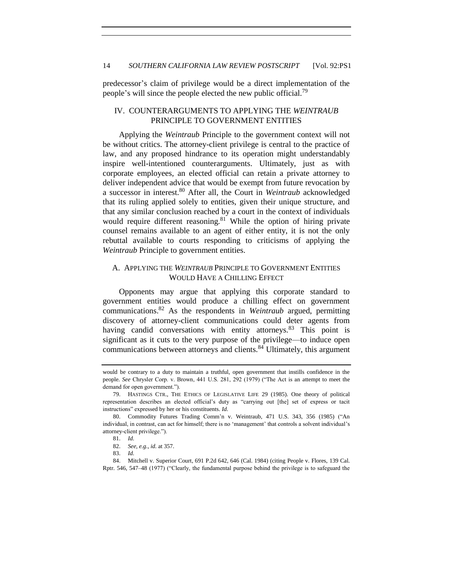predecessor's claim of privilege would be a direct implementation of the people's will since the people elected the new public official.<sup>79</sup>

## IV. COUNTERARGUMENTS TO APPLYING THE *WEINTRAUB* PRINCIPLE TO GOVERNMENT ENTITIES

Applying the *Weintraub* Principle to the government context will not be without critics. The attorney-client privilege is central to the practice of law, and any proposed hindrance to its operation might understandably inspire well-intentioned counterarguments. Ultimately, just as with corporate employees, an elected official can retain a private attorney to deliver independent advice that would be exempt from future revocation by a successor in interest.<sup>80</sup> After all, the Court in *Weintraub* acknowledged that its ruling applied solely to entities, given their unique structure, and that any similar conclusion reached by a court in the context of individuals would require different reasoning.<sup>81</sup> While the option of hiring private counsel remains available to an agent of either entity, it is not the only rebuttal available to courts responding to criticisms of applying the *Weintraub* Principle to government entities.

## A. APPLYING THE *WEINTRAUB* PRINCIPLE TO GOVERNMENT ENTITIES WOULD HAVE A CHILLING EFFECT

Opponents may argue that applying this corporate standard to government entities would produce a chilling effect on government communications.<sup>82</sup> As the respondents in *Weintraub* argued, permitting discovery of attorney-client communications could deter agents from having candid conversations with entity attorneys.<sup>83</sup> This point is significant as it cuts to the very purpose of the privilege—to induce open communications between attorneys and clients.<sup>84</sup> Ultimately, this argument

would be contrary to a duty to maintain a truthful, open government that instills confidence in the people. *See* Chrysler Corp. v. Brown, 441 U.S. 281, 292 (1979) ("The Act is an attempt to meet the demand for open government.").

<sup>79.</sup> HASTINGS CTR., THE ETHICS OF LEGISLATIVE LIFE 29 (1985). One theory of political representation describes an elected official's duty as "carrying out [the] set of express or tacit instructions" expressed by her or his constituents. *Id*.

<sup>80.</sup> Commodity Futures Trading Comm'n v. Weintraub, 471 U.S. 343, 356 (1985) ("An individual, in contrast, can act for himself; there is no 'management' that controls a solvent individual's attorney-client privilege.").

<sup>81.</sup> *Id.*

<sup>82.</sup> *See, e.g.*, *id.* at 357.

<sup>83.</sup> *Id.*

<sup>84.</sup> Mitchell v. Superior Court, 691 P.2d 642, 646 (Cal. 1984) (citing People v. Flores, 139 Cal. Rptr. 546, 547–48 (1977) ("Clearly, the fundamental purpose behind the privilege is to safeguard the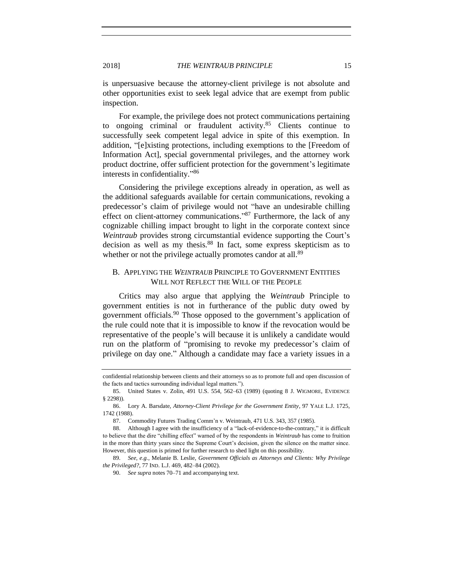is unpersuasive because the attorney-client privilege is not absolute and other opportunities exist to seek legal advice that are exempt from public inspection.

For example, the privilege does not protect communications pertaining to ongoing criminal or fraudulent activity. $85$  Clients continue to successfully seek competent legal advice in spite of this exemption. In addition, "[e]xisting protections, including exemptions to the [Freedom of Information Act], special governmental privileges, and the attorney work product doctrine, offer sufficient protection for the government's legitimate interests in confidentiality."<sup>86</sup>

<span id="page-14-0"></span>Considering the privilege exceptions already in operation, as well as the additional safeguards available for certain communications, revoking a predecessor's claim of privilege would not "have an undesirable chilling effect on client-attorney communications."<sup>87</sup> Furthermore, the lack of any cognizable chilling impact brought to light in the corporate context since *Weintraub* provides strong circumstantial evidence supporting the Court's decision as well as my thesis.<sup>88</sup> In fact, some express skepticism as to whether or not the privilege actually promotes candor at all.<sup>89</sup>

## B. APPLYING THE *WEINTRAUB* PRINCIPLE TO GOVERNMENT ENTITIES WILL NOT REFLECT THE WILL OF THE PEOPLE

Critics may also argue that applying the *Weintraub* Principle to government entities is not in furtherance of the public duty owed by government officials.<sup>90</sup> Those opposed to the government's application of the rule could note that it is impossible to know if the revocation would be representative of the people's will because it is unlikely a candidate would run on the platform of "promising to revoke my predecessor's claim of privilege on day one." Although a candidate may face a variety issues in a

confidential relationship between clients and their attorneys so as to promote full and open discussion of the facts and tactics surrounding individual legal matters.").

<sup>85.</sup> United States v. Zolin, 491 U.S. 554, 562–63 (1989) (quoting 8 J. WIGMORE, EVIDENCE § 2298)).

<sup>86.</sup> Lory A. Barsdate, *Attorney-Client Privilege for the Government Entity*, 97 YALE L.J. 1725, 1742 (1988).

<sup>87.</sup> Commodity Futures Trading Comm'n v. Weintraub, 471 U.S. 343, 357 (1985).

<sup>88.</sup> Although I agree with the insufficiency of a "lack-of-evidence-to-the-contrary," it is difficult to believe that the dire "chilling effect" warned of by the respondents in *Weintraub* has come to fruition in the more than thirty years since the Supreme Court's decision, given the silence on the matter since. However, this question is primed for further research to shed light on this possibility.

<sup>89.</sup> *See, e.g.*, Melanie B. Leslie, *Government Officials as Attorneys and Clients: Why Privilege the Privileged?*, 77 IND. L.J. 469, 482–84 (2002).

<sup>90.</sup> *See supra* note[s 70](#page-11-1)[–71](#page-11-2) and accompanying text.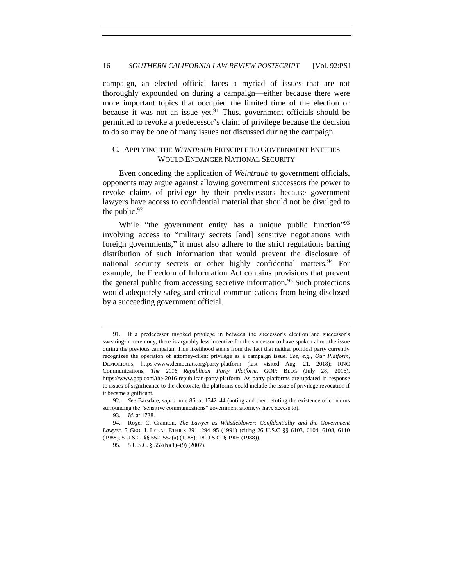campaign, an elected official faces a myriad of issues that are not thoroughly expounded on during a campaign—either because there were more important topics that occupied the limited time of the election or because it was not an issue yet.<sup>91</sup> Thus, government officials should be permitted to revoke a predecessor's claim of privilege because the decision to do so may be one of many issues not discussed during the campaign.

## C. APPLYING THE *WEINTRAUB* PRINCIPLE TO GOVERNMENT ENTITIES WOULD ENDANGER NATIONAL SECURITY

Even conceding the application of *Weintraub* to government officials, opponents may argue against allowing government successors the power to revoke claims of privilege by their predecessors because government lawyers have access to confidential material that should not be divulged to the public. $92$ 

While "the government entity has a unique public function"<sup>93</sup> involving access to "military secrets [and] sensitive negotiations with foreign governments," it must also adhere to the strict regulations barring distribution of such information that would prevent the disclosure of national security secrets or other highly confidential matters.<sup>94</sup> For example, the Freedom of Information Act contains provisions that prevent the general public from accessing secretive information.<sup>95</sup> Such protections would adequately safeguard critical communications from being disclosed by a succeeding government official.

<sup>91.</sup> If a predecessor invoked privilege in between the successor's election and successor's swearing-in ceremony, there is arguably less incentive for the successor to have spoken about the issue during the previous campaign. This likelihood stems from the fact that neither political party currently recognizes the operation of attorney-client privilege as a campaign issue. *See, e.g.*, *Our Platform*, DEMOCRATS, https://www.democrats.org/party-platform (last visited Aug. 21, 2018); RNC Communications, *The 2016 Republican Party Platform*, GOP: BLOG (July 28, 2016), https://www.gop.com/the-2016-republican-party-platform. As party platforms are updated in response to issues of significance to the electorate, the platforms could include the issue of privilege revocation if it became significant.

<sup>92.</sup> *See* Barsdate, *supra* note [86,](#page-14-0) at 1742–44 (noting and then refuting the existence of concerns surrounding the "sensitive communications" government attorneys have access to).

<sup>93.</sup> *Id*. at 1738.

<sup>94.</sup> Roger C. Cramton, *The Lawyer as Whistleblower: Confidentiality and the Government Lawyer*, 5 GEO. J. LEGAL ETHICS 291, 294–95 (1991) (citing 26 U.S.C §§ 6103, 6104, 6108, 6110 (1988); 5 U.S.C. §§ 552, 552(a) (1988); 18 U.S.C. § 1905 (1988)).

<sup>95. 5</sup> U.S.C. § 552(b)(1)–(9) (2007).